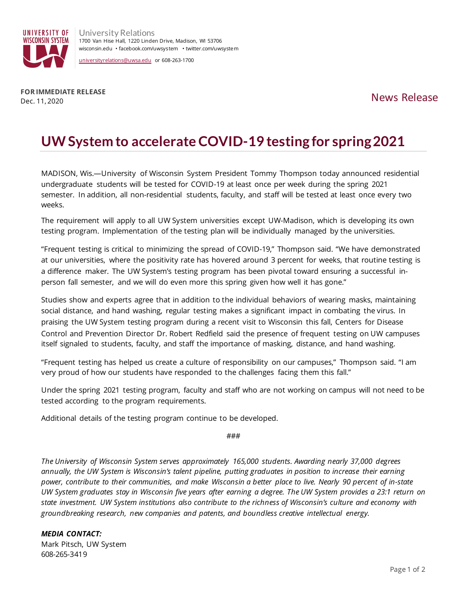

**FOR IMMEDIATE RELEASE** Dec. 11, 2020

## **UW System to accelerate COVID-19 testing for spring 2021**

MADISON, Wis.—University of Wisconsin System President Tommy Thompson today announced residential undergraduate students will be tested for COVID-19 at least once per week during the spring 2021 semester. In addition, all non-residential students, faculty, and staff will be tested at least once every two weeks.

The requirement will apply to all UW System universities except UW-Madison, which is developing its own testing program. Implementation of the testing plan will be individually managed by the universities.

"Frequent testing is critical to minimizing the spread of COVID-19," Thompson said. "We have demonstrated at our universities, where the positivity rate has hovered around 3 percent for weeks, that routine testing is a difference maker. The UW System's testing program has been pivotal toward ensuring a successful inperson fall semester, and we will do even more this spring given how well it has gone."

Studies show and experts agree that in addition to the individual behaviors of wearing masks, maintaining social distance, and hand washing, regular testing makes a significant impact in combating the virus. In praising the UW System testing program during a recent visit to Wisconsin this fall, Centers for Disease Control and Prevention Director Dr. Robert Redfield said the presence of frequent testing on UW campuses itself signaled to students, faculty, and staff the importance of masking, distance, and hand washing.

"Frequent testing has helped us create a culture of responsibility on our campuses," Thompson said. "I am very proud of how our students have responded to the challenges facing them this fall."

Under the spring 2021 testing program, faculty and staff who are not working on campus will not need to be tested according to the program requirements.

Additional details of the testing program continue to be developed.

###

*The University of Wisconsin System serves approximately 165,000 students. Awarding nearly 37,000 degrees annually, the UW System is Wisconsin's talent pipeline, putting graduates in position to increase their earning power, contribute to their communities, and make Wisconsin a better place to live. Nearly 90 percent of in-state UW System graduates stay in Wisconsin five years after earning a degree. The UW System provides a 23:1 return on state investment. UW System institutions also contribute to the richness of Wisconsin's culture and economy with groundbreaking research, new companies and patents, and boundless creative intellectual energy.*

## *MEDIA CONTACT:*

Mark Pitsch, UW System 608-265-3419